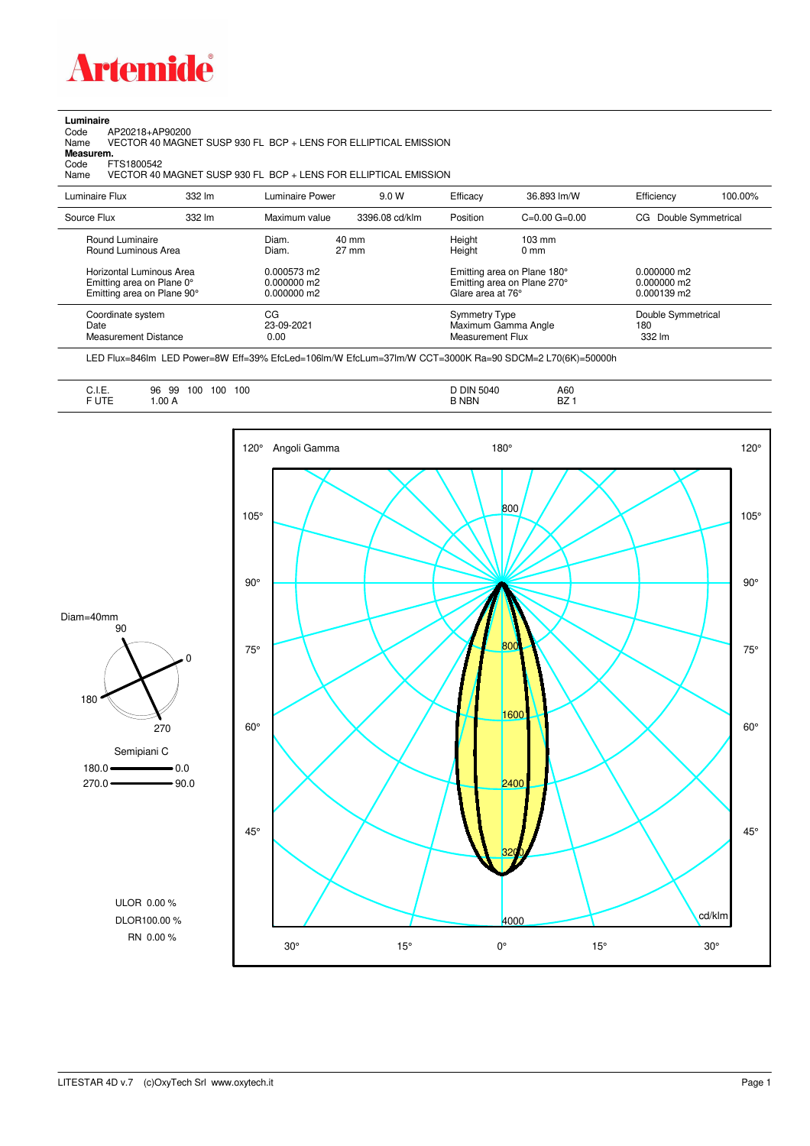

## **Luminaire**<br>Code /<br>Name

Code AP20218+AP90200 Name VECTOR 40 MAGNET SUSP 930 FL BCP + LENS FOR ELLIPTICAL EMISSION **Measurem.**

Code FTS1800542<br>Name VECTOR 401 VECTOR 40 MAGNET SUSP 930 FL BCP + LENS FOR ELLIPTICAL EMISSION

| Luminaire Flux                                                                                                                | 332 lm | Luminaire Power                                                 | 9.0 W                    | Efficacy                                 | 36.893 lm/W                                                                                      | Efficiency                                      | 100.00% |
|-------------------------------------------------------------------------------------------------------------------------------|--------|-----------------------------------------------------------------|--------------------------|------------------------------------------|--------------------------------------------------------------------------------------------------|-------------------------------------------------|---------|
| Source Flux                                                                                                                   | 332 lm | Maximum value                                                   | 3396.08 cd/klm           | Position                                 | $C=0.00$ $G=0.00$                                                                                | Double Symmetrical<br>CG.                       |         |
| Round Luminaire<br>Round Luminous Area<br>Horizontal Luminous Area<br>Emitting area on Plane 0°<br>Emitting area on Plane 90° |        | Diam.<br>Diam.<br>0.000573 m2<br>$0.000000$ m2<br>$0.000000$ m2 | 40 mm<br>$27 \text{ mm}$ | Height<br>Height<br>Glare area at 76°    | $103 \text{ mm}$<br>$0 \text{ mm}$<br>Emitting area on Plane 180°<br>Emitting area on Plane 270° | $0.000000$ m2<br>$0.000000$ m2<br>$0.000139$ m2 |         |
| Coordinate system<br>Date<br><b>Measurement Distance</b>                                                                      |        | CG<br>23-09-2021<br>0.00                                        |                          | <b>Symmetry Type</b><br>Measurement Flux | Maximum Gamma Angle                                                                              | Double Symmetrical<br>180<br>332 lm             |         |

LED Flux=846lm LED Power=8W Eff=39% EfcLed=106lm/W EfcLum=37lm/W CCT=3000K Ra=90 SDCM=2 L70(6K)=50000h

| F UTE<br><b>B NBN</b><br>1.00A<br>DZ. |
|---------------------------------------|
|---------------------------------------|